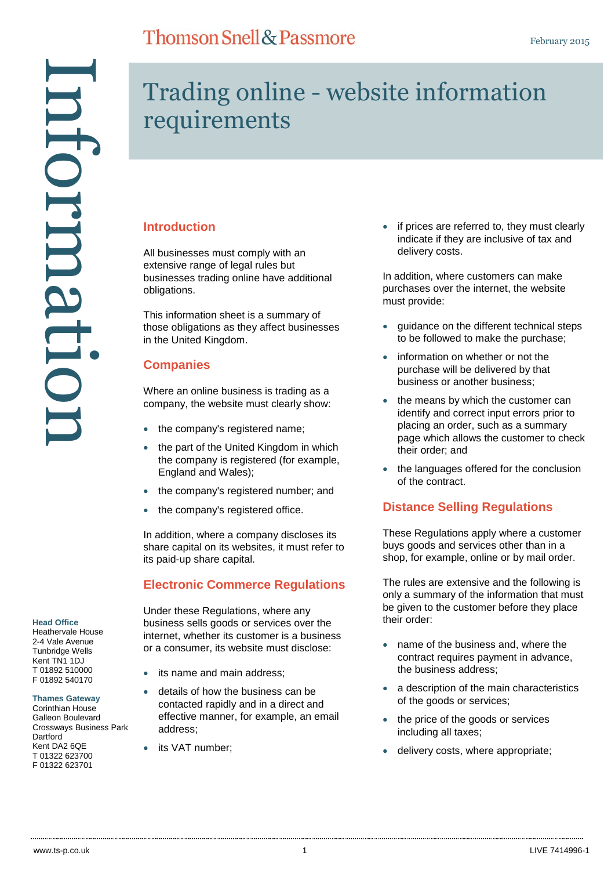# Information nformatic

# Trading online - website information requirements

# **Introduction**

All businesses must comply with an extensive range of legal rules but businesses trading online have additional obligations.

This information sheet is a summary of those obligations as they affect businesses in the United Kingdom.

# **Companies**

Where an online business is trading as a company, the website must clearly show:

- the company's registered name;
- the part of the United Kingdom in which the company is registered (for example, England and Wales);
- the company's registered number; and
- the company's registered office.

In addition, where a company discloses its share capital on its websites, it must refer to its paid-up share capital.

# **Electronic Commerce Regulations**

Under these Regulations, where any business sells goods or services over the internet, whether its customer is a business or a consumer, its website must disclose:

- its name and main address;
- details of how the business can be contacted rapidly and in a direct and effective manner, for example, an email address;
- its VAT number;

• if prices are referred to, they must clearly indicate if they are inclusive of tax and delivery costs.

In addition, where customers can make purchases over the internet, the website must provide:

- guidance on the different technical steps to be followed to make the purchase;
- information on whether or not the purchase will be delivered by that business or another business;
- the means by which the customer can identify and correct input errors prior to placing an order, such as a summary page which allows the customer to check their order; and
- the languages offered for the conclusion of the contract.

# **Distance Selling Regulations**

These Regulations apply where a customer buys goods and services other than in a shop, for example, online or by mail order.

The rules are extensive and the following is only a summary of the information that must be given to the customer before they place their order:

- name of the business and, where the contract requires payment in advance, the business address;
- a description of the main characteristics of the goods or services;
- the price of the goods or services including all taxes;
- delivery costs, where appropriate;

**Head Office** Heathervale House 2-4 Vale Avenue Tunbridge Wells Kent TN1 1DJ T 01892 510000 F 01892 540170 **Thames Gateway** Corinthian House Galleon Boulevard Crossways Business Park

**Dartford** Kent DA2 6QE T 01322 623700 F 01322 623701